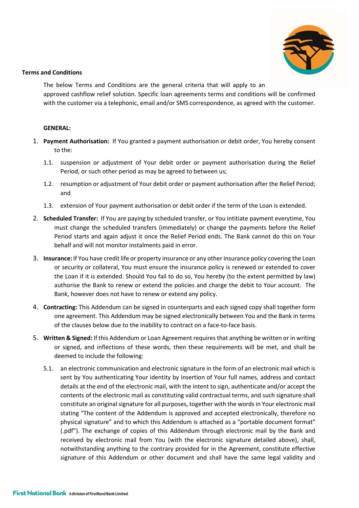

## Terms and Conditions

 The below Terms and Conditions are the general criteria that will apply to an approved cashflow relief solution. Specific loan agreements terms and conditions will be confirmed with the customer via a telephonic, email and/or SMS correspondence, as agreed with the customer.

## GENERAL:

- 1. Payment Authorisation: If You granted a payment authorisation or debit order, You hereby consent to the:
	- 1.1. suspension or adjustment of Your debit order or payment authorisation during the Relief Period, or such other period as may be agreed to between us;
	- 1.2. resumption or adjustment of Your debit order or payment authorisation after the Relief Period; and
	- 1.3. extension of Your payment authorisation or debit order if the term of the Loan is extended.
- 2. Scheduled Transfer: If You are paying by scheduled transfer, or You intitiate payment everytime, You must change the scheduled transfers (immediately) or change the payments before the Relief Period starts and again adjust it once the Relief Period ends. The Bank cannot do this on Your behalf and will not monitor instalments paid in error.
- 3. Insurance: If You have credit life or property insurance or any other insurance policy covering the Loan or security or collateral, You must ensure the insurance policy is renewed or extended to cover the Loan if it is extended. Should You fail to do so, You hereby (to the extent permitted by law) authorise the Bank to renew or extend the policies and charge the debit to Your account. The Bank, however does not have to renew or extend any policy.
- 4. Contracting: This Addendum can be signed in counterparts and each signed copy shall together form one agreement. This Addendum may be signed electronically between You and the Bank in terms of the clauses below due to the inability to contract on a face-to-face basis.
- 5. Written & Signed: If this Addendum or Loan Agreement requires that anything be written or in writing or signed, and inflections of these words, then these requirements will be met, and shall be deemed to include the following:
	- 5.1. an electronic communication and electronic signature in the form of an electronic mail which is sent by You authenticating Your identity by insertion of Your full names, address and contact details at the end of the electronic mail, with the intent to sign, authenticate and/or accept the contents of the electronic mail as constituting valid contractual terms, and such signature shall constitute an original signature for all purposes, together with the words in Your electronic mail stating "The content of the Addendum is approved and accepted electronically, therefore no physical signature" and to which this Addendum is attached as a "portable document format" (.pdf"). The exchange of copies of this Addendum through electronic mail by the Bank and received by electronic mail from You (with the electronic signature detailed above), shall, notwithstanding anything to the contrary provided for in the Agreement, constitute effective signature of this Addendum or other document and shall have the same legal validity and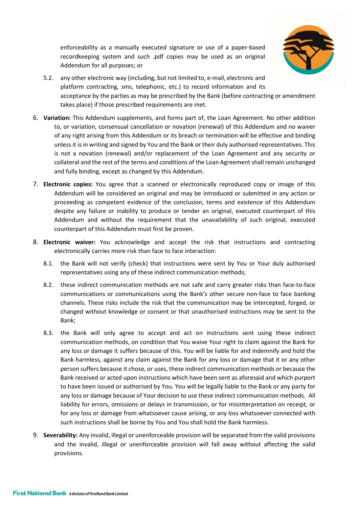enforceability as a manually executed signature or use of a paper-based recordkeeping system and such .pdf copies may be used as an original Addendum for all purposes; or



- 5.2. any other electronic way (including, but not limited to, e-mail, electronic and platform contracting, sms, telephonic, etc.) to record information and its acceptance by the parties as may be prescribed by the Bank (before contracting or amendment takes place) if those prescribed requirements are met.
- 6. Variation: This Addendum supplements, and forms part of, the Loan Agreement. No other addition to, or variation, consensual cancellation or novation (renewal) of this Addendum and no waiver of any right arising from this Addendum or its breach or termination will be effective and binding unless it is in writing and signed by You and the Bank or their duly authorised representatives. This is not a novation (renewal) and/or replacement of the Loan Agreement and any security or collateral and the rest of the terms and conditions of the Loan Agreement shall remain unchanged and fully binding, except as changed by this Addendum.
- 7. Electronic copies: You agree that a scanned or electronically reproduced copy or image of this Addendum will be considered an original and may be introduced or submitted in any action or proceeding as competent evidence of the conclusion, terms and existence of this Addendum despite any failure or inability to produce or tender an original, executed counterpart of this Addendum and without the requirement that the unavailability of such original, executed counterpart of this Addendum must first be proven.
- 8. Electronic waiver: You acknowledge and accept the risk that instructions and contracting electronically carries more risk than face to face interaction:
	- 8.1. the Bank will not verify (check) that instructions were sent by You or Your duly authorised representatives using any of these indirect communication methods;
	- 8.2. these indirect communication methods are not safe and carry greater risks than face-to-face communications or communications using the Bank's other secure non-face to face banking channels. These risks include the risk that the communication may be intercepted, forged, or changed without knowledge or consent or that unauthorised instructions may be sent to the Bank;
	- 8.3. the Bank will only agree to accept and act on instructions sent using these indirect communication methods, on condition that You waive Your right to claim against the Bank for any loss or damage it suffers because of this. You will be liable for and indemnify and hold the Bank harmless, against any claim against the Bank for any loss or damage that it or any other person suffers because it chose, or uses, these indirect communication methods or because the Bank received or acted upon instructions which have been sent as aforesaid and which purport to have been issued or authorised by You. You will be legally liable to the Bank or any party for any loss or damage because of Your decision to use these indirect communication methods. All liability for errors, omissions or delays in transmission, or for misinterpretation on receipt, or for any loss or damage from whatsoever cause arising, or any loss whatsoever connected with such instructions shall be borne by You and You shall hold the Bank harmless.
- 9. Severability: Any invalid, illegal or unenforceable provision will be separated from the valid provisions and the invalid, illegal or unenforceable provision will fall away without affecting the valid provisions.